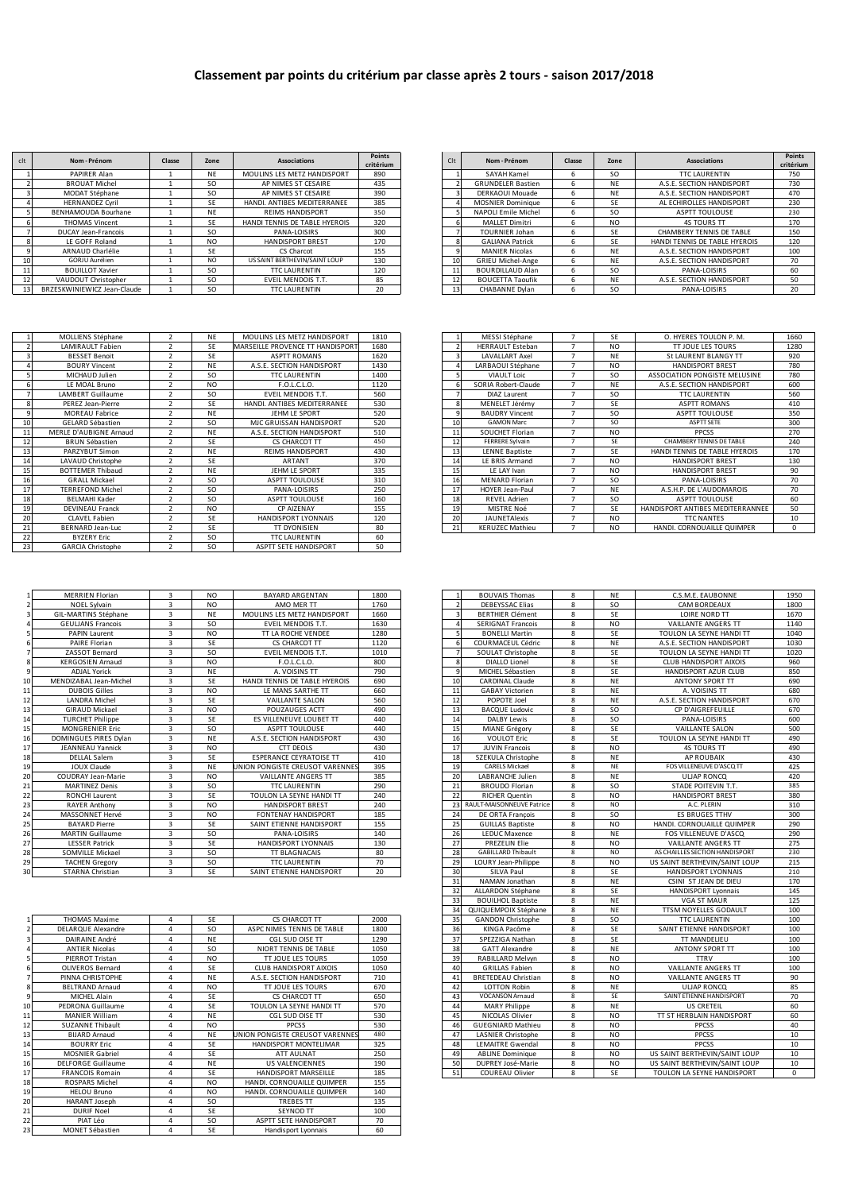| clt | Nom - Prénom                | Classe | Zone           | Associations                  | Points<br>critérium | C <sub>1</sub>  | Nom-Prénom               | Classe | Zone | Associations                  | Poin<br>critéri |
|-----|-----------------------------|--------|----------------|-------------------------------|---------------------|-----------------|--------------------------|--------|------|-------------------------------|-----------------|
|     | PAPIRER Alan                |        | <b>NE</b>      | MOULINS LES METZ HANDISPORT   | 890                 |                 | SAYAH Kamel              |        | SO   | <b>TTC LAURENTIN</b>          | 750             |
|     | <b>BROUAT Michel</b>        |        | SO.            | AP NIMES ST CESAIRE           | 435                 |                 | <b>GRUNDELER Bastien</b> |        | NE.  | A.S.E. SECTION HANDISPORT     | 730             |
|     | MODAT Stéphane              |        | SO.            | AP NIMES ST CESAIRE           | 390                 |                 | DERKAOUI Mouade          | n      | NE   | A.S.E. SECTION HANDISPORT     | 470             |
|     | <b>HERNANDEZ Cyril</b>      |        | SE             | HANDI, ANTIBES MEDITERRANEE   | 385                 |                 | <b>MOSNIER Dominique</b> |        | SE   | AL ECHIROLLES HANDISPORT      | 230             |
|     | BENHAMOUDA Bourhane         |        | <b>NE</b>      | <b>REIMS HANDISPORT</b>       | 350                 |                 | NAPOLI Emile Michel      |        | SO   | <b>ASPTT TOULOUSE</b>         | 230             |
|     | <b>THOMAS Vincent</b>       |        | SE             | HANDI TENNIS DE TABLE HYEROIS | 320                 |                 | <b>MALLET Dimitri</b>    |        | NO.  | <b>4S TOURS TT</b>            | 170             |
|     | DUCAY Jean-Francois         |        | SO.            | PANA-LOISIRS                  | 300                 |                 | TOURNIER Johan           |        | SF   | CHAMBERY TENNIS DE TABLE      | 150             |
|     | LE GOFF Roland              |        | N <sub>O</sub> | <b>HANDISPORT BREST</b>       | 170                 |                 | <b>GALIANA Patrick</b>   |        | SE   | HANDI TENNIS DE TABLE HYEROIS | 12(             |
|     | ARNAUD Charlélie            |        | SE             | CS Charcot                    | 155                 |                 | MANIER Nicolas           |        | NE   | A.S.E. SECTION HANDISPORT     | 100             |
|     | GORJU Aurélien              |        | <b>NO</b>      | US SAINT BERTHEVIN/SAINT LOUP | 130                 | 10 <sup>1</sup> | <b>GRIEU Michel-Ange</b> |        | NE   | A.S.E. SECTION HANDISPORT     | 70              |
|     | <b>BOUILLOT Xavier</b>      |        | <b>SO</b>      | <b>TTC LAURENTIN</b>          | 120                 |                 | BOURDILLAUD Alan         |        | SO   | PANA-LOISIRS                  | 60              |
|     | VAUDOUT Christopher         |        | <b>SO</b>      | EVEIL MENDOIS T.T.            | 85                  |                 | <b>BOUCETTA Taoufik</b>  |        | NE   | A.S.E. SECTION HANDISPORT     | 50              |
|     | BRZESKWINIEWICZ Jean-Claude |        | SO.            | <b>TTC LAURENTIN</b>          | 20                  |                 | CHABANNE Dylan           |        | SO.  | PANA-LOISIRS                  | 20              |

| Points    | C <sub>1</sub> | Nom - Prénom             | Classe | Zone           | <b>Associations</b>           | <b>Points</b> |
|-----------|----------------|--------------------------|--------|----------------|-------------------------------|---------------|
| critérium |                |                          |        |                |                               | critérium     |
| 890       |                | SAYAH Kamel              | 6      | SO.            | <b>TTC LAURENTIN</b>          | 750           |
| 435       |                | <b>GRUNDELER Bastien</b> | 6      | <b>NF</b>      | A.S.E. SECTION HANDISPORT     | 730           |
| 390       |                | DERKAOUI Mouade          | 6      | <b>NE</b>      | A.S.F. SECTION HANDISPORT     | 470           |
| 385       |                | <b>MOSNIER Dominique</b> | 6      | SF             | AL ECHIROLLES HANDISPORT      | 230           |
| 350       |                | NAPOLI Emile Michel      | 6      | SO.            | <b>ASPTT TOULOUSE</b>         | 230           |
| 320       | h              | <b>MALLET Dimitri</b>    | 6      | N <sub>O</sub> | <b>4S TOURS TT</b>            | 170           |
| 300       |                | <b>TOURNIER Johan</b>    | 6      | SF             | CHAMBERY TENNIS DE TABLE      | 150           |
| 170       | 8              | <b>GALIANA Patrick</b>   | 6      | SF             | HANDI TENNIS DE TABLE HYEROIS | 120           |
| 155       | 9              | <b>MANIER Nicolas</b>    | 6      | <b>NF</b>      | A.S.E. SECTION HANDISPORT     | 100           |
| 130       | 10             | <b>GRIEU Michel-Ange</b> | 6      | <b>NE</b>      | A.S.E. SECTION HANDISPORT     | 70            |
| 120       | 11             | <b>BOURDILLAUD Alan</b>  | 6      | SO.            | PANA-LOISIRS                  | 60            |
| 85        | 12             | <b>BOUCETTA Taoufik</b>  | 6      | <b>NE</b>      | A.S.E. SECTION HANDISPORT     | 50            |
| 20        | 13             | CHABANNE Dylan           | 6      | SO.            | PANA-LOISIRS                  | 20            |

|    | MOLLIENS Stephane        | NF.       | MOULINS LES METZ HANDISPORT      | 1810 |    | MESSI Stephane          | SF.            | O. HYERES TOULON P. M.           | 1660       |
|----|--------------------------|-----------|----------------------------------|------|----|-------------------------|----------------|----------------------------------|------------|
|    | <b>LAMIRAULT Fabien</b>  | SF        | MARSEILLE PROVENCE TT HANDISPORT | 1680 |    | <b>HERRAULT Esteban</b> | N <sub>O</sub> | TT JOUE LES TOURS                | 1280       |
|    | <b>BESSET Benoit</b>     | <b>SE</b> | <b>ASPTT ROMANS</b>              | 1620 |    | <b>LAVALLART Axel</b>   | <b>NE</b>      | St LAURENT BLANGY TT             | 920        |
|    | <b>BOURY Vincent</b>     | <b>NE</b> | A.S.E. SECTION HANDISPORT        | 1430 |    | LARBAOUI Stéphane       | N <sub>O</sub> | HANDISPORT BREST                 | 780        |
|    | MICHAUD Julien           | SO        | <b>TTC LAURENTIN</b>             | 1400 |    | <b>VIAULT Loic</b>      | SO.            | ASSOCIATION PONGISTE MELUSINE    | 780        |
|    | LE MOAL Bruno            | NO.       | F.O.L.C.L.O.                     | 1120 |    | SORIA Robert-Claude     | <b>NE</b>      | A.S.E. SECTION HANDISPORT        | 600        |
|    | <b>LAMBERT Guillaume</b> | SO.       | EVEIL MENDOIS T.T.               | 560  |    | DIAZ Laurent            | SO.            | <b>TTC LAURENTIN</b>             | 560        |
|    | PEREZ Jean-Pierre        | SE        | HANDI, ANTIBES MEDITERRANEE      | 530  | 8  | MENELET Jérémy          | SE             | <b>ASPTT ROMANS</b>              | 410        |
|    | MOREAU Fabrice           | <b>NE</b> | JEHM LE SPORT                    | 520  |    | <b>BAUDRY Vincent</b>   | <b>SO</b>      | <b>ASPTT TOULOUSE</b>            | 350        |
| 10 | GELARD Sébastien         | SO        | MJC GRUISSAN HANDISPORT          | 520  | 10 | <b>GAMON Marc</b>       | SO.            | ASPTT SETE                       | 300        |
| 11 | MERLE D'AUBIGNE Arnaud   | NF.       | A.S.E. SECTION HANDISPORT        | 510  | 11 | SOUCHET Florian         | NO.            | PPCSS                            | 270        |
|    | <b>BRUN Sébastien</b>    | SE        | CS CHARCOT TT                    | 450  | 12 | FERRERE Sylvain         | <b>SF</b>      | CHAMBERY TENNIS DE TABLE         | 240        |
| 13 | PARZYBUT Simon           | NF.       | <b>REIMS HANDISPORT</b>          | 430  | 13 | LENNE Baptiste          | SE             | HANDI TENNIS DE TABLE HYEROIS    | 170        |
| 14 | LAVAUD Christophe        | <b>SE</b> | <b>ARTANT</b>                    | 370  | 14 | LE BRIS Armand          | NO.            | <b>HANDISPORT BREST</b>          | 130        |
| 15 | <b>BOTTEMER Thibaud</b>  | <b>NE</b> | JEHM LE SPORT                    | 335  | 15 | LE LAY Ivan             | NO.            | <b>HANDISPORT BREST</b>          | 90         |
| 16 | <b>GRALL Mickael</b>     | SO        | ASPTT TOULOUSE                   | 310  | 16 | <b>MENARD Florian</b>   | SO.            | PANA-LOISIRS                     | 70         |
| 17 | <b>TERREFOND Michel</b>  | <b>SO</b> | PANA-LOISIRS                     | 250  | 17 | <b>HOYER Jean-Paul</b>  | <b>NF</b>      | A.S.H.P. DE L'AUDOMAROIS         | 70         |
| 18 | <b>BELMAHI Kader</b>     | <b>SO</b> | <b>ASPTT TOULOUSE</b>            | 160  | 18 | <b>REVEL Adrien</b>     | SO.            | <b>ASPTT TOULOUSE</b>            | 60         |
| 19 | <b>DEVINEAU Franck</b>   | NO.       | CP AIZENAY                       | 155  | 19 | MISTRE Noé              | SE             | HANDISPORT ANTIBES MEDITERRANNEE | 50         |
| 20 | CLAVEL Fabien            | SE        | HANDISPORT LYONNAIS              | 120  | 20 | <b>JAUNETAlexis</b>     | N <sub>O</sub> | <b>TTC NANTES</b>                | 10         |
| 21 | <b>BERNARD Jean-Luc</b>  | SE        | <b>TT DYONISIEN</b>              | 80   | 21 | <b>KERUZEC Mathieu</b>  | N <sub>O</sub> | HANDI, CORNOUAILLE QUIMPER       | $^{\circ}$ |
| 22 | <b>BYZERY Eric</b>       | <b>SO</b> | <b>TTC LAURENTIN</b>             | 60   |    |                         |                |                                  |            |
| 23 | <b>GARCIA Christophe</b> | SO.       | ASPTT SETE HANDISPORT            | 50   |    |                         |                |                                  |            |

|        | <b>MERRIEN Florian</b>   | $\overline{3}$          | NO.            | <b>BAYARD ARGENTAN</b>          | 1800         |        | <b>BOUVAIS Thomas</b>     | 8      | <b>NF</b>      | C.S.M.E. EAUBONNE              | 1950 |
|--------|--------------------------|-------------------------|----------------|---------------------------------|--------------|--------|---------------------------|--------|----------------|--------------------------------|------|
|        | NOEL Sylvain             |                         | N <sub>O</sub> | AMO MER TT                      | 1760         |        | <b>DEBEYSSAC Elias</b>    |        | <sub>SO</sub>  | CAM BORDEAUX                   | 1800 |
|        | GIL-MARTINS Stéphane     | $\overline{3}$          | <b>NE</b>      | MOULINS LES METZ HANDISPORT     | 1660         |        | <b>BERTHIER Clément</b>   | 8      | <b>SE</b>      | <b>LOIRE NORD TT</b>           | 1670 |
|        | <b>GEULIANS Francois</b> | $\overline{\mathbf{z}}$ | <b>SO</b>      | EVEIL MENDOIS T.T.              | 1630         |        | <b>SERIGNAT Francois</b>  | 8      | NO.            | <b>VAILLANTE ANGERS TT</b>     | 1140 |
|        | <b>PAPIN Laurent</b>     | $\overline{3}$          | N <sub>O</sub> | TT LA ROCHE VENDEE              | 1280         |        | <b>BONELLI Martin</b>     | 8      | <b>SE</b>      | TOULON LA SEYNE HANDI TT       | 1040 |
|        | <b>PAIRE Florian</b>     | २                       | SE             | <b>CS CHARCOT TT</b>            | 1120         |        | COURMACEUL Cédric         | 8      | <b>NE</b>      | A.S.E. SECTION HANDISPORT      | 1030 |
|        | ZASSOT Bernard           | $\overline{\mathbf{z}}$ | <b>SO</b>      | EVEIL MENDOIS T.T.              | 1010         |        | SOULAT Christophe         | 8      | <b>SE</b>      | TOULON LA SEYNE HANDI TT       | 1020 |
|        | <b>KERGOSIEN Arnaud</b>  | २                       | N <sub>O</sub> | F.O.L.C.L.O.                    | 800          |        | <b>DIALLO Lionel</b>      | 8      | SE             | <b>CLUB HANDISPORT AIXOIS</b>  | 960  |
|        | <b>ADJAL Yorick</b>      | २                       | <b>NE</b>      | A. VOISINS TT                   | 790          |        | MICHEL Sébastien          | 8      | <b>SE</b>      | HANDISPORT AZUR CLUB           | 850  |
| 10     | MENDIZABAL Jean-Michel   | २                       | SE             | HANDI TENNIS DE TABLE HYEROIS   | 690          | 10     | CARDINAL Claude           | 8      | NF             | <b>ANTONY SPORT TT</b>         | 690  |
| 11     | <b>DUBOIS Gilles</b>     | $\overline{\mathbf{z}}$ | N <sub>O</sub> | LE MANS SARTHE TT               | 660          | 11     | <b>GABAY Victorien</b>    | R      | <b>NF</b>      | A. VOISINS TT                  | 680  |
| 12     | <b>LANDRA Michel</b>     |                         | SE             | <b>VAILLANTE SALON</b>          | 560          |        | POPOTE Joel               | 8      | <b>NE</b>      | A.S.E. SECTION HANDISPORT      | 670  |
| 13     | <b>GIRAUD Mickael</b>    | २                       | N <sub>O</sub> | POUZAUGES ACTT                  | 490          | 13     | <b>BACQUE Ludovic</b>     | 8      | <sub>SO</sub>  | CP D'AIGREFEUILLE              | 670  |
| 14     | <b>TURCHET Philippe</b>  | $\overline{3}$          | SE             | <b>FS VILLENEUVE LOUBET TT</b>  | 440          | 14     | <b>DALBY Lewis</b>        | 8      | <b>SO</b>      | PANA-LOISIRS                   | 600  |
| 15     | <b>MONGRENIER Eric</b>   | ्र                      | <b>SO</b>      | <b>ASPTT TOULOUSE</b>           | 440          | 15     | MIANE Grégory             | 8      | <b>SE</b>      | <b>VAILLANTE SALON</b>         | 500  |
| 16     | DOMINGUES PIRES Dvlan    | $\overline{3}$          | <b>NE</b>      | A.S.E. SECTION HANDISPORT       | 430          | 16     | <b>VOULOT Eric</b>        | 8      | SE             | TOULON LA SEYNE HANDI TT       | 490  |
| 17     | JEANNEAU Yannick         | $\overline{3}$          | N <sub>O</sub> | <b>CTT DEOLS</b>                | 430          | 17     | <b>JUVIN Francois</b>     | 8      | N <sub>O</sub> | <b>4S TOURS TT</b>             | 490  |
| 18     | <b>DELLAL Salem</b>      | $\overline{3}$          | <b>SE</b>      | <b>ESPERANCE CEYRATOISE TT</b>  | 410          | 18     | SZEKULA Christophe        | 8      | <b>NE</b>      | <b>AP ROUBAIX</b>              | 430  |
| 19     | JOUX Claude              |                         | <b>NE</b>      | JNION PONGISTE CREUSOT VARENNES | 395          | 19     | <b>CARELS Mickael</b>     | 8      | <b>NF</b>      | FOS VILLENEUVE D'ASCO TT       | 425  |
| 20     | COUDRAY Jean-Marie       | $\overline{\mathbf{z}}$ | N <sub>O</sub> | VAILLANTE ANGERS TT             | 385          | 20     | <b>LABRANCHE Julien</b>   | 8      | <b>NE</b>      | <b>ULIAP RONCO</b>             | 420  |
| 21     | <b>MARTINEZ Denis</b>    | $\overline{3}$          | <b>SO</b>      | <b>TTC LAURENTIN</b>            | 290          | 21     | <b>BROUDO Florian</b>     | 8      | -SO            | STADE POITEVIN T.T.            | 385  |
| 22     | <b>RONCHI Laurent</b>    | $\overline{3}$          | <b>SE</b>      | TOULON LA SEYNE HANDI TT        | 240          | 22     | <b>RICHER Quentin</b>     | 8      | NO.            | <b>HANDISPORT BREST</b>        | 380  |
| 23     | <b>RAYER Anthony</b>     |                         | N <sub>O</sub> | <b>HANDISPORT BREST</b>         | 240          | 23     | RAULT-MAISONNEUVE Patrice | 8      | N <sub>O</sub> | A.C. PLERIN                    | 310  |
| 24     | MASSONNET Hervé          | $\overline{\mathbf{3}}$ | N <sub>O</sub> | <b>FONTENAY HANDISPORT</b>      | 185          | 24     | DE ORTA François          | 8      | <b>SO</b>      | <b>ES BRUGES TTHV</b>          | 300  |
| 25     | <b>BAYARD Pierre</b>     | ्र                      | SE             | SAINT ETIENNE HANDISPORT        | 155          | 25     | <b>GUILLAS Baptiste</b>   | 8      | N <sub>O</sub> | HANDI, CORNOUAILLE QUIMPER     | 290  |
| 26     | <b>MARTIN Guillaume</b>  | २                       | SO             | PANA-LOISIRS                    | 140          | 26     | <b>LEDUC Maxence</b>      | 8      | <b>NF</b>      | FOS VILLENEUVE D'ASCO          | 290  |
| 27     | <b>LESSER Patrick</b>    | २                       | <b>SE</b>      | HANDISPORT LYONNAIS             | 130          | 27     | <b>PREZELIN Elie</b>      | 8      | N <sub>O</sub> | VAILLANTE ANGERS TT            | 275  |
| 28     | <b>SOMVILLE Mickael</b>  | २                       | SO.            | <b>TT BLAGNACAIS</b>            | 80           | 28     | <b>GABILLARD Thibault</b> | 8      | NO.            | AS CHAILLES SECTION HANDISPORT | 230  |
| 29     | <b>TACHEN Gregory</b>    | 3                       | SO             | <b>TTC LAURENTIN</b>            | 70           | 29     | LOURY Jean-Philippe       | 8      | NO.            | US SAINT BERTHEVIN/SAINT LOUP  | 215  |
| $\sim$ | CTADALA Chainting        | $\sim$                  | c.             | CAINT CTICHAIC UANDICROST       | $20^{\circ}$ | $\sim$ | CHAIN Basil               | $\sim$ | c.             | <b>UANDICRODE IVONAIRIC</b>    | 210  |

|    |                           |           |                |                                 |      |    | QUIQUEMPOIX Stéphane       |   | NE.            | TTSM NOYELLES GODAULT         | 100 |
|----|---------------------------|-----------|----------------|---------------------------------|------|----|----------------------------|---|----------------|-------------------------------|-----|
|    | <b>THOMAS Maxime</b>      |           | SE             | CS CHARCOT TT                   | 2000 | 35 | <b>GANDON Christophe</b>   | R | SO.            | <b>TTC LAURENTIN</b>          | 100 |
|    | DELARQUE Alexandre        |           | SO             | ASPC NIMES TENNIS DE TABLE      | 1800 | 36 | KINGA Pacôme               | 8 | SE             | SAINT ETIENNE HANDISPORT      | 100 |
|    | DAIRAINE André            | Δ         | NE             | CGL SUD OISE TT                 | 1290 | 37 | SPEZZIGA Nathan            | 8 | SE             | TT MANDELIEU                  | 100 |
|    | <b>ANTIER Nicolas</b>     |           | SO             | NIORT TENNIS DE TABLE           | 1050 | 38 | <b>GATT Alexandre</b>      | R | <b>NE</b>      | <b>ANTONY SPORT TT</b>        | 100 |
|    | PIERROT Tristan           | Λ         | NO.            | <b>TT JOUE LES TOURS</b>        | 1050 | 39 | RABILLARD Melvyn           | R | NO.            | <b>TTRV</b>                   | 100 |
| 6  | <b>OLIVEROS Bernard</b>   |           | <b>SE</b>      | CLUB HANDISPORT AIXOIS          | 1050 | 40 | <b>GRILLAS Fabien</b>      | 8 | NO.            | VAILLANTE ANGERS TT           | 100 |
|    | PINNA CHRISTOPHE          | $\Lambda$ | <b>NE</b>      | A.S.E. SECTION HANDISPORT       | 710  | 4  | <b>BRETEDEAU Christian</b> | 8 | NO.            | VAILLANTE ANGERS TT           | 90  |
| 8  | <b>BELTRAND Arnaud</b>    |           | N <sub>O</sub> | <b>TT JOUE LES TOURS</b>        | 670  | 42 | <b>LOTTON Robin</b>        | 8 | <b>NE</b>      | <b>ULIAP RONCO</b>            | 85  |
|    | MICHEL Alain              |           | <b>SE</b>      | CS CHARCOT TT                   | 650  |    | <b>VOCANSON Arnaud</b>     | 8 | SF             | SAINT ETIENNE HANDISPORT      | 70  |
| 10 | PEDRONA Guillaume         |           | <b>SE</b>      | TOULON LA SEYNE HANDI TT        | 570  | 44 | <b>MARY Philippe</b>       | 8 | <b>NE</b>      | US CRETEIL                    | 60  |
| 11 | <b>MANIER William</b>     |           | NE             | CGL SUD OISE TT                 | 530  | 45 | NICOLAS Olivier            | R | NO.            | TT ST HERBLAIN HANDISPORT     | 60  |
| 12 | <b>SUZANNE Thibault</b>   | Λ         | NO.            | <b>PPCSS</b>                    | 530  | 46 | <b>GUEGNIARD Mathieu</b>   | R | NO.            | <b>PPCSS</b>                  | 40  |
| 13 | <b>BIJARD Arnaud</b>      |           | <b>NE</b>      | UNION PONGISTE CREUSOT VARENNES | 480  | 47 | LASNIER Christophe         | R | N <sub>O</sub> | PPCSS                         | 10  |
| 14 | <b>BOURRY Eric</b>        | $\Lambda$ | SE             | HANDISPORT MONTELIMAR           | 325  | 48 | <b>LEMAITRE Gwendal</b>    | 8 | NO.            | <b>PPCSS</b>                  | 10  |
| 15 | <b>MOSNIER Gabriel</b>    |           | <b>SE</b>      | ATT AULNAT                      | 250  | 49 | <b>ABLINE Dominique</b>    | R | N <sub>O</sub> | US SAINT BERTHEVIN/SAINT LOUP | 10  |
| 16 | <b>DELFORGE Guillaume</b> |           | <b>NE</b>      | <b>US VALENCIENNES</b>          | 190  | 50 | DUPREY José-Marie          | 8 | N <sub>O</sub> | US SAINT BERTHEVIN/SAINT LOUP | 10  |
| 17 | <b>FRANCOIS Romain</b>    |           | <b>SE</b>      | HANDISPORT MARSEILLE            | 185  | 51 | COUREAU Olivier            | 8 | SE             | TOULON LA SEYNE HANDISPORT    | 0   |
| 18 | ROSPARS Michel            |           | NO.            | HANDI, CORNOUAILLE QUIMPER      | 155  |    |                            |   |                |                               |     |
| 19 | <b>HELOU Bruno</b>        | $\Lambda$ | NO.            | HANDI, CORNOUAILLE QUIMPER      | 140  |    |                            |   |                |                               |     |
| 20 | HARANT Joseph             |           | SO.            | <b>TREBES TT</b>                | 135  |    |                            |   |                |                               |     |
| 21 | <b>DURIF Noel</b>         | $\Lambda$ | <b>SE</b>      | <b>SEYNOD TT</b>                | 100  |    |                            |   |                |                               |     |
| 22 | PIAT Léo                  |           | SO.            | ASPTT SETE HANDISPORT           | 70   |    |                            |   |                |                               |     |
| 23 | MONET Sébastien           | Δ         | <b>SE</b>      | Handisport Lyonnais             | 60   |    |                            |   |                |                               |     |

|                          | MESSI Stéphane          | 7              | SF             | O. HYERES TOULON P. M.           | 1660     |
|--------------------------|-------------------------|----------------|----------------|----------------------------------|----------|
| $\overline{\phantom{a}}$ | <b>HERRAULT Esteban</b> | 7              | N <sub>O</sub> | <b>TT JOUE LES TOURS</b>         | 1280     |
| 3                        | <b>LAVALLART Axel</b>   | 7              | <b>NF</b>      | St LAURENT BLANGY TT             | 920      |
| 4                        | LARBAOUI Stéphane       | 7              | N <sub>O</sub> | <b>HANDISPORT BREST</b>          | 780      |
| 5                        | <b>VIAULT Loic</b>      | 7              | <b>SO</b>      | ASSOCIATION PONGISTE MELUSINE    | 780      |
| 6                        | SORIA Robert-Claude     | 7              | <b>NF</b>      | A.S.E. SECTION HANDISPORT        | 600      |
|                          | <b>DIAZ Laurent</b>     | 7              | <b>SO</b>      | <b>TTC LAURENTIN</b>             | 560      |
| 8                        | MENELET Jérémy          | 7              | SF             | <b>ASPTT ROMANS</b>              | 410      |
| 9                        | <b>BAUDRY Vincent</b>   | 7              | <b>SO</b>      | <b>ASPTT TOULOUSE</b>            | 350      |
| 10                       | <b>GAMON Marc</b>       | $\overline{7}$ | SO.            | ASPTT SETE                       | 300      |
| 11                       | SOUCHET Florian         | 7              | N <sub>O</sub> | <b>PPCSS</b>                     | 270      |
| 12                       | <b>FERRERE Sylvain</b>  | $\overline{7}$ | SF             | CHAMBERY TENNIS DE TABLE         | 240      |
| 13                       | <b>LENNE Baptiste</b>   | 7              | SE             | HANDI TENNIS DE TABLE HYEROIS    | 170      |
| 14                       | LE BRIS Armand          | $\overline{7}$ | N <sub>O</sub> | <b>HANDISPORT BREST</b>          | 130      |
| 15                       | LE LAY Ivan             | 7              | N <sub>O</sub> | <b>HANDISPORT BREST</b>          | 90       |
| 16                       | <b>MENARD Florian</b>   | $\overline{7}$ | SO.            | PANA-LOISIRS                     | 70       |
| 17                       | <b>HOYER Jean-Paul</b>  | 7              | <b>NF</b>      | A.S.H.P. DE L'AUDOMAROIS         | 70       |
| 18                       | <b>REVEL Adrien</b>     | 7              | <b>SO</b>      | <b>ASPTT TOULOUSE</b>            | 60       |
| 19                       | MISTRE Noé              | 7              | SE             | HANDISPORT ANTIBES MEDITERRANNEE | 50       |
| 20                       | <b>JAUNETAlexis</b>     | 7              | N <sub>O</sub> | <b>TTC NANTES</b>                | 10       |
| 21                       | <b>KERUZEC Mathieu</b>  | 7              | N <sub>O</sub> | HANDI, CORNOUAILLE QUIMPER       | $\Omega$ |
|                          |                         |                |                |                                  |          |

|    | <b>MERRIEN Florian</b>    | 3              | <b>NO</b>      | <b>BAYARD ARGENTAN</b>          | 1800            |              | <b>BOUVAIS Thomas</b>      | 8 | <b>NE</b>      | C.S.M.E. EAUBONNE              | 1950        |
|----|---------------------------|----------------|----------------|---------------------------------|-----------------|--------------|----------------------------|---|----------------|--------------------------------|-------------|
|    | <b>NOEL Sylvain</b>       | 3              | <b>NO</b>      | AMO MER TT                      | 1760            |              | <b>DEBEYSSAC Elias</b>     | 8 | <b>SO</b>      | CAM BORDEAUX                   | 1800        |
|    | GIL-MARTINS Stéphane      | 3              | NE             | MOULINS LES METZ HANDISPORT     | 1660            |              | <b>BERTHIER Clément</b>    | 8 | SE             | LOIRE NORD TT                  | 1670        |
|    | <b>GEULIANS Francois</b>  | 3              | <b>SO</b>      | EVEIL MENDOIS T.T.              | 1630            | Δ            | <b>SERIGNAT Francois</b>   | 8 | <b>NO</b>      | VAILLANTE ANGERS TT            | 1140        |
|    | <b>PAPIN Laurent</b>      | 3              | <b>NO</b>      | TT LA ROCHE VENDEE              | 1280            | 5            | <b>BONELLI Martin</b>      | 8 | SE             | TOULON LA SEYNE HANDI TT       | 1040        |
|    | PAIRE Florian             | 3              | SE             | CS CHARCOT TT                   | 1120            | 6            | COURMACEUL Cédric          | 8 | <b>NE</b>      | A.S.E. SECTION HANDISPORT      | 1030        |
|    | ZASSOT Bernard            | 3              | <b>SO</b>      | EVEIL MENDOIS T.T.              | 1010            |              | SOULAT Christophe          | 8 | SE             | TOULON LA SEYNE HANDI TT       | 1020        |
|    | <b>KERGOSIEN Arnaud</b>   | $\overline{3}$ | <b>NO</b>      | F.O.L.C.L.O.                    | 800             | 8            | <b>DIALLO Lionel</b>       | 8 | SE             | <b>CLUB HANDISPORT AIXOIS</b>  | 960         |
|    | <b>ADJAL Yorick</b>       | $\overline{3}$ | <b>NE</b>      | A. VOISINS TT                   | 790             | $\mathbf{q}$ | MICHEL Sébastien           | 8 | SE             | HANDISPORT AZUR CLUB           | 850         |
| 10 | MENDIZABAL Jean-Michel    | 3              | SE             | HANDI TENNIS DE TABLE HYEROIS   | 690             | 10           | CARDINAL Claude            | 8 | <b>NE</b>      | ANTONY SPORT TT                | 690         |
| 11 | <b>DUBOIS Gilles</b>      | 3              | N <sub>O</sub> | LE MANS SARTHE TT               | 660             | 11           | <b>GABAY Victorien</b>     | 8 | <b>NE</b>      | A. VOISINS TT                  | 680         |
| 12 | <b>LANDRA Michel</b>      | 3              | SE             | <b>VAILLANTE SALON</b>          | 560             | 12           | POPOTE Joel                | 8 | <b>NE</b>      | A.S.E. SECTION HANDISPORT      | 670         |
| 13 | <b>GIRAUD Mickael</b>     | 3              | <b>NO</b>      | POUZAUGES ACTT                  | 490             | 13           | <b>BACQUE Ludovic</b>      | 8 | <b>SO</b>      | CP D'AIGREFEUILLE              | 670         |
| 14 | <b>TURCHET Philippe</b>   | 3              | <b>SE</b>      | ES VILLENEUVE LOUBET TT         | 440             | 14           | <b>DALBY Lewis</b>         | 8 | <b>SO</b>      | PANA-LOISIRS                   | 600         |
| 15 | <b>MONGRENIER Eric</b>    | $\overline{3}$ | <b>SO</b>      | <b>ASPTT TOULOUSE</b>           | 440             | 15           | MIANE Grégory              | 8 | SE             | <b>VAILLANTE SALON</b>         | 500         |
| 16 | DOMINGUES PIRES Dylan     | 3              | <b>NE</b>      | A.S.E. SECTION HANDISPORT       | 430             | 16           | <b>VOULOT Eric</b>         | 8 | SE             | TOULON LA SEYNE HANDI TT       | 490         |
| 17 | JEANNEAU Yannick          | 3              | <b>NO</b>      | <b>CTT DEOLS</b>                | 430             | 17           | <b>JUVIN Francois</b>      | 8 | <b>NO</b>      | <b>4S TOURS TT</b>             | 490         |
| 18 | <b>DELLAL Salem</b>       | 3              | SE             | <b>ESPERANCE CEYRATOISE TT</b>  | 410             | 18           | SZEKULA Christophe         | 8 | <b>NE</b>      | <b>AP ROUBAIX</b>              | 430         |
| 19 | <b>JOUX Claude</b>        | $\overline{3}$ | <b>NE</b>      | UNION PONGISTE CREUSOT VARENNES | 395             | 19           | <b>CARELS Mickael</b>      | 8 | <b>NE</b>      | FOS VILLENEUVE D'ASCQ TT       | 425         |
| 20 | COUDRAY Jean-Marie        | $\overline{3}$ | N <sub>O</sub> | <b>VAILLANTE ANGERS TT</b>      | 385             | 20           | LABRANCHE Julien           | 8 | <b>NE</b>      | <b>ULIAP RONCO</b>             | 420         |
| 21 | <b>MARTINEZ Denis</b>     | 3              | SO             | <b>TTC LAURENTIN</b>            | 290             | 21           | <b>BROUDO Florian</b>      | 8 | <b>SO</b>      | STADE POITEVIN T.T.            | 385         |
| 22 | <b>RONCHI Laurent</b>     | 3              | SE             | TOULON LA SEYNE HANDI TT        | 240             | 22           | <b>RICHER Quentin</b>      | 8 | N <sub>O</sub> | <b>HANDISPORT BREST</b>        | 380         |
| 23 | <b>RAYER Anthony</b>      | 3              | <b>NO</b>      | <b>HANDISPORT BREST</b>         | 240             | 23           | RAULT-MAISONNEUVE Patrice  | 8 | <b>NO</b>      | A.C. PLERIN                    | 310         |
| 24 | MASSONNET Hervé           | 3              | <b>NO</b>      | <b>FONTENAY HANDISPORT</b>      | 185             | 24           | DE ORTA François           | 8 | <b>SO</b>      | ES BRUGES TTHV                 | 300         |
| 25 | <b>BAYARD Pierre</b>      | 3              | <b>SE</b>      | SAINT ETIENNE HANDISPORT        | 155             | 25           | <b>GUILLAS Baptiste</b>    | 8 | N <sub>O</sub> | HANDI, CORNOUAILLE QUIMPER     | 290         |
| 26 | <b>MARTIN Guillaume</b>   | $\overline{3}$ | <b>SO</b>      | PANA-LOISIRS                    | 140             | 26           | <b>LEDUC Maxence</b>       | 8 | <b>NE</b>      | FOS VILLENEUVE D'ASCO          | 290         |
| 27 | <b>LESSER Patrick</b>     | 3              | SE             | HANDISPORT LYONNAIS             | 130             | 27           | PREZELIN Elie              | 8 | <b>NO</b>      | VAILLANTE ANGERS TT            | 275         |
| 28 | SOMVILLE Mickael          | $\overline{3}$ | SO             | <b>TT BLAGNACAIS</b>            | 80              | 28           | <b>GABILLARD Thibault</b>  | 8 | N <sub>O</sub> | AS CHAILLES SECTION HANDISPORT | 230         |
| 29 | <b>TACHEN Gregory</b>     | 3              | <b>SO</b>      | <b>TTC LAURENTIN</b>            | 70              | 29           | LOURY Jean-Philippe        | 8 | N <sub>O</sub> | US SAINT BERTHEVIN/SAINT LOUP  | 215         |
| 30 | <b>STARNA Christian</b>   | $\overline{3}$ | <b>SE</b>      | SAINT ETIENNE HANDISPORT        | 20 <sup>2</sup> | 30           | SILVA Paul                 | 8 | SE             | HANDISPORT LYONNAIS            | 210         |
|    |                           |                |                |                                 |                 | 31           | NAMAN Jonathan             | 8 | <b>NE</b>      | CSINI ST JEAN DE DIEU          | 170         |
|    |                           |                |                |                                 |                 | 32           | ALLARDON Stéphane          | 8 | SE             | HANDISPORT Lyonnais            | 145         |
|    |                           |                |                |                                 |                 | 33           | <b>BOUILHOL Baptiste</b>   | 8 | <b>NE</b>      | <b>VGA ST MAUR</b>             | 125         |
|    |                           |                |                |                                 |                 | 34           | QUIQUEMPOIX Stéphane       | 8 | <b>NE</b>      | TTSM NOYELLES GODAULT          | 100         |
|    | <b>THOMAS Maxime</b>      | $\overline{4}$ | SE             | <b>CS CHARCOT TT</b>            | 2000            | 35           | <b>GANDON Christophe</b>   | 8 | so             | <b>TTC LAURENTIN</b>           | 100         |
|    | DELARQUE Alexandre        | 4              | <sub>SO</sub>  | ASPC NIMES TENNIS DE TABLE      | 1800            | 36           | KINGA Pacôme               | 8 | SE             | SAINT ETIENNE HANDISPORT       | 100         |
|    | DAIRAINE André            | 4              | <b>NE</b>      | CGL SUD OISE TT                 | 1290            | 37           | SPEZZIGA Nathan            | 8 | SE             | <b>TT MANDELIEU</b>            | 100         |
|    | <b>ANTIER Nicolas</b>     | $\Delta$       | <b>SO</b>      | NIORT TENNIS DE TABLE           | 1050            | 38           | <b>GATT Alexandre</b>      | 8 | <b>NE</b>      | ANTONY SPORT TT                | 100         |
|    | PIERROT Tristan           | 4              | <b>NO</b>      | TT JOUE LES TOURS               | 1050            | 39           | RABILLARD Melvyn           | 8 | <b>NO</b>      | <b>TTRV</b>                    | 100         |
| 6  | <b>OLIVEROS Bernard</b>   | 4              | SE             | CLUB HANDISPORT AIXOIS          | 1050            | 40           | <b>GRILLAS Fabien</b>      | 8 | N <sub>O</sub> | VAILLANTE ANGERS TT            | 100         |
|    | PINNA CHRISTOPHE          | $\overline{a}$ | <b>NE</b>      | A.S.E. SECTION HANDISPORT       | 710             | 41           | <b>BRETEDEAU Christian</b> | 8 | N <sub>O</sub> | <b>VAILLANTE ANGERS TT</b>     | 90          |
|    | <b>BELTRAND Arnaud</b>    | 4              | N <sub>O</sub> | <b>TT JOUE LES TOURS</b>        | 670             | 42           | <b>LOTTON Robin</b>        | 8 | <b>NE</b>      | <b>ULIAP RONCO</b>             | 85          |
| 9  | MICHEL Alain              | $\Delta$       | <b>SE</b>      | <b>CS CHARCOT TT</b>            | 650             | 43           | VOCANSON Arnaud            | 8 | SE             | SAINT ETIENNE HANDISPORT       | 70          |
| 10 | PEDRONA Guillaume         | 4              | <b>SE</b>      | TOULON LA SEYNE HANDI TT        | 570             | 44           | <b>MARY Philippe</b>       | 8 | <b>NE</b>      | US CRETEIL                     | 60          |
| 11 | <b>MANIER William</b>     | $\Delta$       | <b>NE</b>      | CGL SUD OISE TT                 | 530             | 45           | NICOLAS Olivier            | 8 | <b>NO</b>      | TT ST HERBLAIN HANDISPORT      | 60          |
| 12 | <b>SUZANNE Thibault</b>   | $\overline{4}$ | N <sub>O</sub> | <b>PPCSS</b>                    | 530             | 46           | <b>GUEGNIARD Mathieu</b>   | 8 | <b>NO</b>      | PPCSS                          | 40          |
| 13 | <b>BIJARD Arnaud</b>      | 4              | <b>NE</b>      | UNION PONGISTE CREUSOT VARENNES | 480             | 47           | LASNIER Christophe         | 8 | N <sub>O</sub> | PPCSS                          | 10          |
| 14 | <b>BOURRY Eric</b>        | 4              | <b>SE</b>      | HANDISPORT MONTELIMAR           | 325             | 48           | <b>LEMAITRE Gwendal</b>    | 8 | <b>NO</b>      | PPCSS                          | 10          |
| 15 | MOSNIER Gabriel           | 4              | SE             | <b>ATT AULNAT</b>               | 250             | 49           | <b>ABLINE Dominique</b>    | 8 | <b>NO</b>      | US SAINT BERTHEVIN/SAINT LOUP  | 10          |
| 16 | <b>DELFORGE Guillaume</b> | 4              | <b>NE</b>      | <b>US VALENCIENNES</b>          | 190             | 50           | DUPREY José-Marie          | 8 | N <sub>O</sub> | US SAINT BERTHEVIN/SAINT LOUP  | 10          |
| 17 | <b>FRANCOIS Romain</b>    | $\overline{4}$ | <b>SE</b>      | HANDISPORT MARSEILLE            | 185             | 51           | COUREAU Olivier            | 8 | SE             | TOULON LA SEYNE HANDISPORT     | $\mathbf 0$ |
|    |                           |                |                |                                 |                 |              |                            |   |                |                                |             |